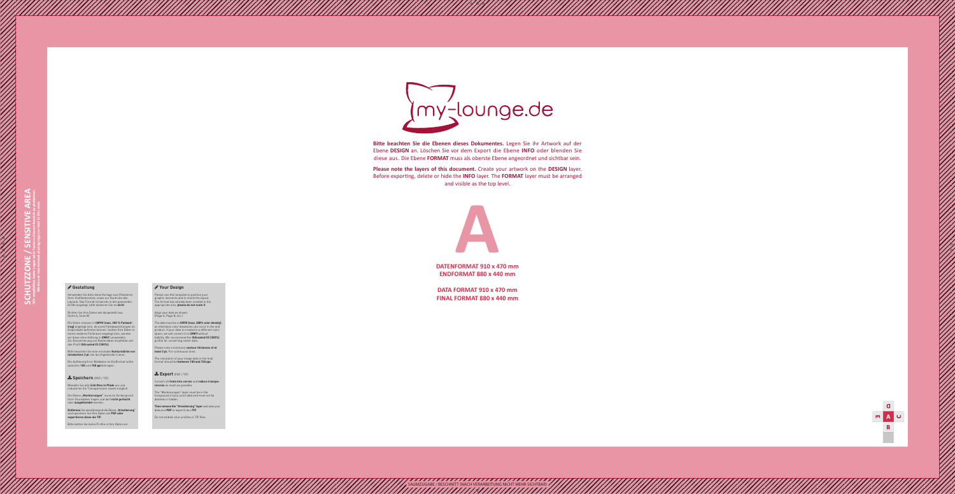

**ENDFORMAT 880 x 440 mm**

**DATA FORMAT 910 x 470 mm FINAL FORMAT 880 x 440 mm**

SAUMZUGABE / BESCHNITT (NACH VERARBEITUNG NICHT MEHR SICHTBAR)



**Bitte beachten Sie die Ebenen dieses Dokumentes.** Legen Sie ihr Artwork auf der Ebene **DESIGN** an. Löschen Sie vor dem Export die Ebene **INFO** oder blenden Sie diese aus. Die Ebene **FORMAT** muss als oberste Ebene angeordnet und sichtbar sein.

**Please note the layers of this document.** Create your artwork on the **DESIGN** layer. Before exporting, delete or hide the **INFO** layer. The **FORMAT** layer must be arranged and visible as the top level.

## **Gestaltung**

Verwenden Sie bitte diese Vorlage zum Platzieren Ihrer Grafikelemente, sowie zur Kontrolle des Layouts. Das Format ist bereits in der passenden Größe angelegt, bitte skalieren Sie es **nicht** .

Die Ebene "Markierungen" muss im Vordergrund Ihrer Druckdaten liegen und darf **nicht gelöscht** oder **ausgeblendet** werden.

Entfernen Sie anschliessend die Ebene "Orientierung" und speichern Sie Ihre Daten als **PDF oder exportieren diese als TIF** .

Richten Sie Ihre Daten wie dargestellt aus. (Seite A, Seite B)

Die Daten müssen in **CMYK (max. 300 % Farbauf trag)** angelegt sein, da sonst Farbabweichungen im Endprodukt auftreten können. Sollten Ihre Daten in einem anderen Farbraum angelegt sein, werden wir diese ohne Haftung in **CMKY** umwandeln. Zur Konvertierung von Rasterdaten empfehlen wir das Profil **ISOcoated V2 (300%).**

Bitte beachten Sie eine minimale **Konturstärke von mindestens 3 pt.** bei durchgehenden Linien.

Die Auflösung Ihrer Bilddaten im Endformat sollte zwischen **100** und **150 ppi** betragen.

**Speichern** (PDF / TIF)

Wandeln Sie alle **Schriften in Pfade** um und reduzieren Sie Transparenzen soweit möglich.

Bitte betten Sie keine Profile in Ihre Daten ein.

## **Your Design**

Please use this template to position your graphic elements and to check the layout. The format has already been created in the appropriate size, **please do not scale it** .

Align your data as shown. (Page A, Page B, etc.)

The data must be in **CMYK (max. 300% color density)**, as otherwise color deviations can occur in the end product. If your data is created in a different color space, we will convert it to **CMKY** without liability. We recommend the **ISOcoated V2 (300%)** profile for converting raster data.

Please note a minimum **contour thickness of at least 3 pt.** For continuous lines.

The resolution of your image data in the final format should be **between 100 and 150 ppi.**

## **Export** (PDF / TIF)

Convert all **fonts into curves** and **reduce transpa rencies** as much as possible.

The "Markierungen" layer must be in the foreground of your print data and must not be deleted or hidden.

**Then remove the "Orientierung" layer** and save your data as a **PDF** or export it as a **TIF** .

Do not embed color profiles in TIF files.

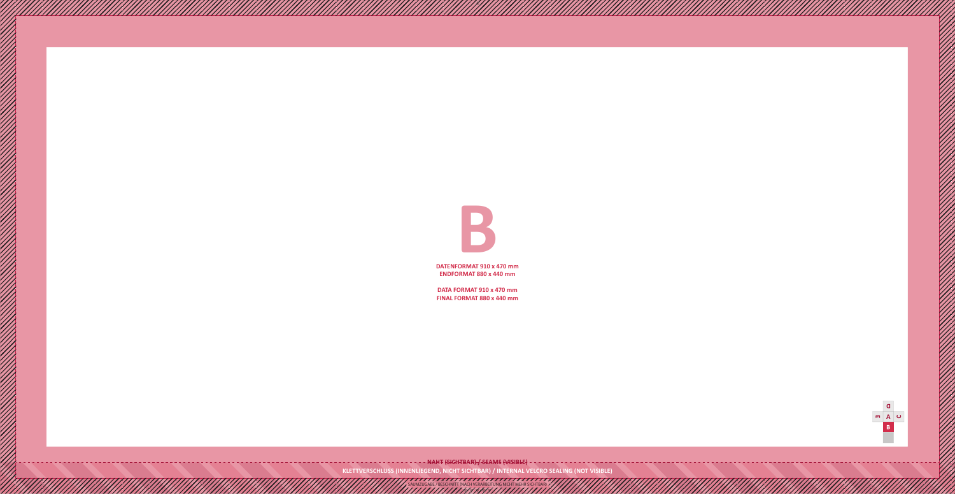**KLETTVERSCHLUSS (INNENLIEGEND, NICHT SICHTBAR) / INTERNAL VELCRO SEALING (NOT VISIBLE)**



**DATENFORMAT 910 x 470 mm ENDFORMAT 880 x 440 mm**



**DATA FORMAT 910 x 470 mm FINAL FORMAT 880 x 440 mm**

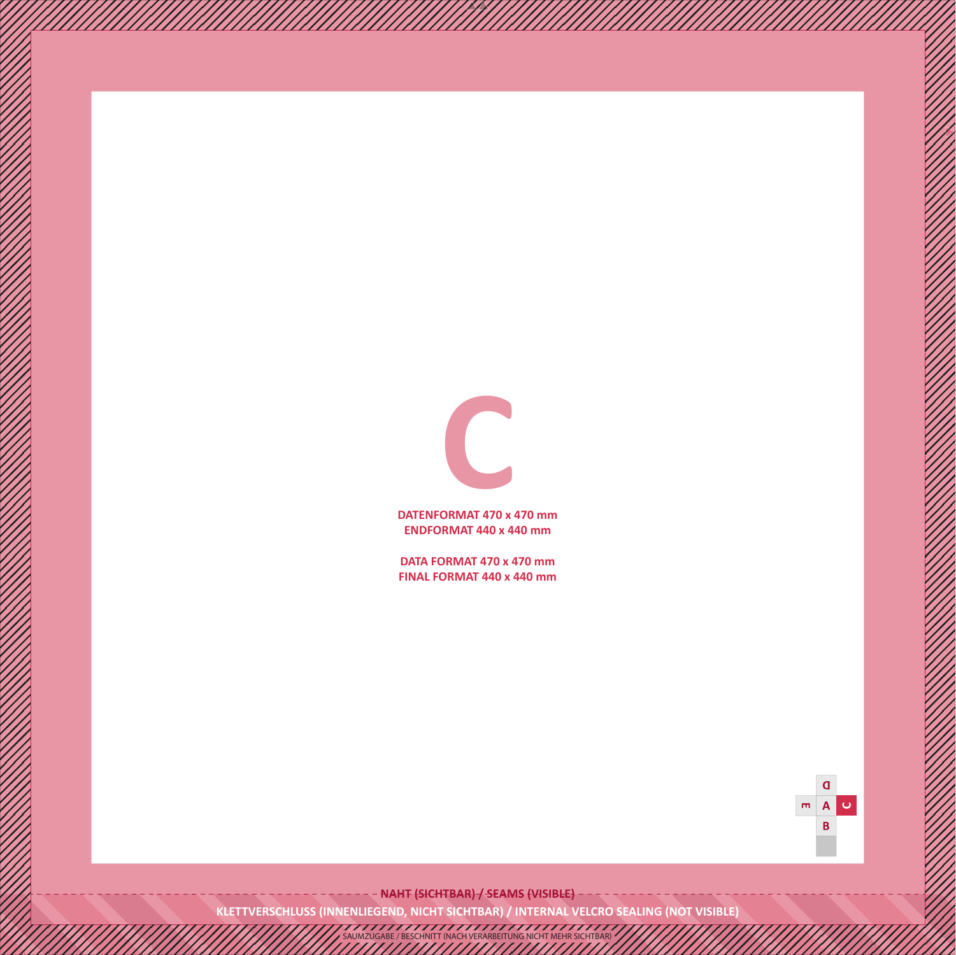**DATENFORMAT 470 x 470 mm ENDFORMAT 440 x 440 mm**



**DATA FORMAT 470 x 470 mm FINAL FORMAT 440 x 440 mm**

> $\mathbf \Omega$  $\overline{\mathbf{m}}$  $\mathbf{A}$  $\cup$ B

- NAHT (SICHTBAR) -/ SEAMS (VISIBLE) -

**KLETTVERSCHLUSS (INNENLIEGEND, NICHT SICHTBAR) / INTERNAL VELCRO SEALING (NOT VISIBLE)**

SAUMZUGABE / BESCHNITT (NACH VERARBEITUNG NICHT MEHR SICHTBAR)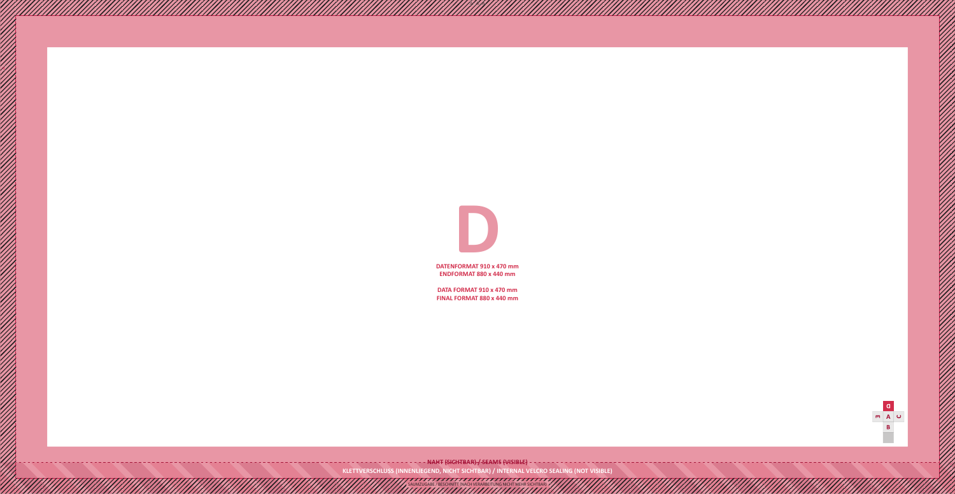**DATENFORMAT 910 x 470 mm ENDFORMAT 880 x 440 mm**



**DATA FORMAT 910 x 470 mm FINAL FORMAT 880 x 440 mm**

**KLETTVERSCHLUSS (INNENLIEGEND, NICHT SICHTBAR) / INTERNAL VELCRO SEALING (NOT VISIBLE)**